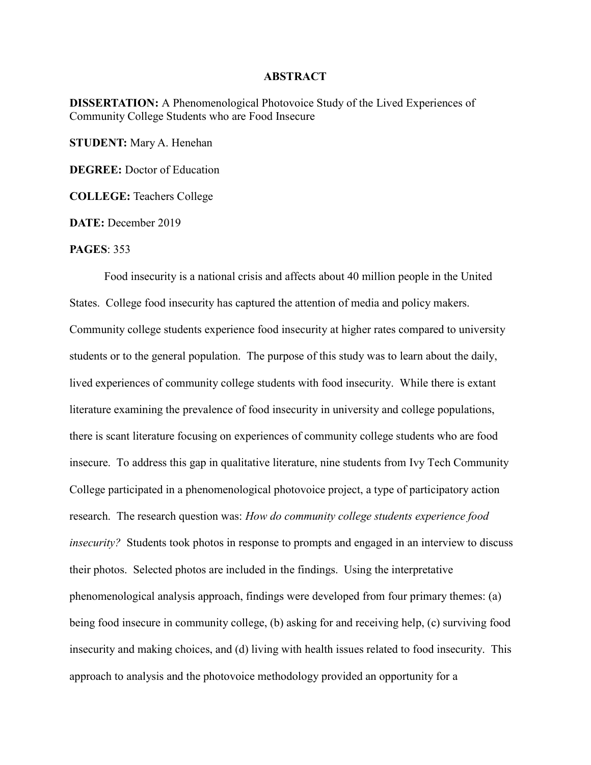## **ABSTRACT**

DISSERTATION: A Phenomenological Photovoice Study of the Lived Experiences of Community College Students who are Food Insecure

STUDENT: Mary A. Henehan

DEGREE: Doctor of Education

COLLEGE: Teachers College

DATE: December 2019

## PAGES: 353

Food insecurity is a national crisis and affects about 40 million people in the United States. College food insecurity has captured the attention of media and policy makers. Community college students experience food insecurity at higher rates compared to university students or to the general population. The purpose of this study was to learn about the daily, lived experiences of community college students with food insecurity. While there is extant literature examining the prevalence of food insecurity in university and college populations, there is scant literature focusing on experiences of community college students who are food insecure. To address this gap in qualitative literature, nine students from Ivy Tech Community College participated in a phenomenological photovoice project, a type of participatory action research. The research question was: How do community college students experience food insecurity? Students took photos in response to prompts and engaged in an interview to discuss their photos. Selected photos are included in the findings. Using the interpretative phenomenological analysis approach, findings were developed from four primary themes: (a) being food insecure in community college, (b) asking for and receiving help, (c) surviving food insecurity and making choices, and (d) living with health issues related to food insecurity. This approach to analysis and the photovoice methodology provided an opportunity for a